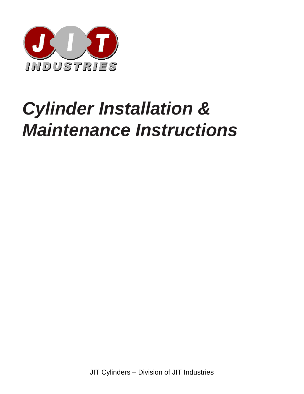

## *Cylinder Installation & Maintenance Instructions*

JIT Cylinders – Division of JIT Industries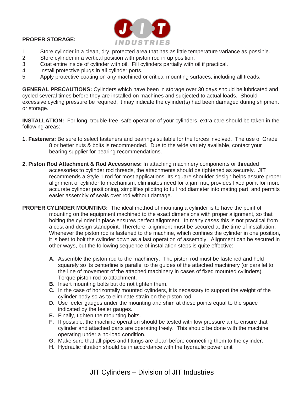## **PROPER STORAGE:**



- 1 Store cylinder in a clean, dry, protected area that has as little temperature variance as possible.<br>2 Store cylinder in a vertical position with piston rod in up position.
- Store cylinder in a vertical position with piston rod in up position.
- 3 Coat entire inside of cylinder with oil. Fill cylinders partially with oil if practical.
- 4 Install protective plugs in all cylinder ports.
- 5 Apply protective coating on any machined or critical mounting surfaces, including all treads.

**GENERAL PRECAUTIONS:** Cylinders which have been in storage over 30 days should be lubricated and cycled several times before they are installed on machines and subjected to actual loads. Should excessive cycling pressure be required, it may indicate the cylinder(s) had been damaged during shipment or storage.

**INSTALLATION:** For long, trouble-free, safe operation of your cylinders, extra care should be taken in the following areas:

- **1. Fasteners:** Be sure to select fasteners and bearings suitable for the forces involved. The use of Grade 8 or better nuts & bolts is recommended. Due to the wide variety available, contact your bearing supplier for bearing recommendations.
- **2. Piston Rod Attachment & Rod Accessories:** In attaching machinery components or threaded accessories to cylinder rod threads, the attachments should be tightened as securely. JIT recommends a Style 1 rod for most applications. Its square shoulder design helps assure proper alignment of cylinder to mechanism, eliminates need for a jam nut, provides fixed point for more accurate cylinder positioning, simplifies piloting to full rod diameter into mating part, and permits easier assembly of seals over rod without damage.
- **PROPER CYLINDER MOUNTING:** The ideal method of mounting a cylinder is to have the point of mounting on the equipment machined to the exact dimensions with proper alignment, so that bolting the cylinder in place ensures perfect alignment. In many cases this is not practical from a cost and design standpoint. Therefore, alignment must be secured at the time of installation. Whenever the piston rod is fastened to the machine, which confines the cylinder in one position, it is best to bolt the cylinder down as a last operation of assembly. Alignment can be secured in other ways, but the following sequence of installation steps is quite effective:
	- **A.** Assemble the piston rod to the machinery. The piston rod must be fastened and held squarely so its centerline is parallel to the guides of the attached machinery (or parallel to the line of movement of the attached machinery in cases of fixed mounted cylinders). Torque piston rod to attachment.
	- **B.** Insert mounting bolts but do not tighten them.
	- **C.** In the case of horizontally mounted cylinders, it is necessary to support the weight of the cylinder body so as to eliminate strain on the piston rod.
	- **D.** Use feeler gauges under the mounting and shim at these points equal to the space indicated by the feeler gauges.
	- **E.** Finally, tighten the mounting bolts.
	- **F.** If possible, the machine operation should be tested with low pressure air to ensure that cylinder and attached parts are operating freely. This should be done with the machine operating under a no-load condition.
	- **G.** Make sure that all pipes and fittings are clean before connecting them to the cylinder.
	- **H.** Hydraulic filtration should be in accordance with the hydraulic power unit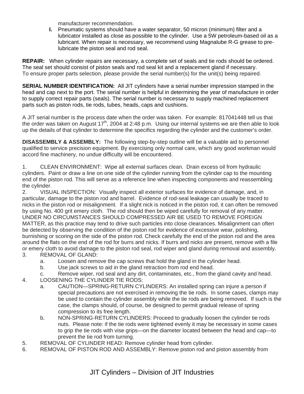manufacturer recommendation.

**I.** Pneumatic systems should have a water separator, 50 micron (minimum) filter and a lubricator installed as close as possible to the cylinder. Use a 5W petroleum-based oil as a lubricant. When repair is necessary, we recommend using Magnalube R-G grease to prelubricate the piston seal and rod seal.

**REPAIR:** When cylinder repairs are necessary, a complete set of seals and tie rods should be ordered. The seal set should consist of piston seals and rod seal kit and a replacement gland if necessary. To ensure proper parts selection, please provide the serial number(s) for the unit(s) being repaired.

**SERIAL NUMBER IDENTIFICATION:** All JIT cylinders have a serial number impression stamped in the head and cap next to the port. The serial number is helpful in determining the year of manufacture in order to supply correct repair parts (seals). The serial number is necessary to supply machined replacement parts such as piston rods, tie rods, tubes, heads, caps and cushions.

A JIT serial number is the process date when the order was taken. For example: 817041448 tell us that the order was taken on August  $17<sup>th</sup>$ , 2004 at 2:48 p.m. Using our internal systems we are then able to look up the details of that cylinder to determine the specifics regarding the cylinder and the customer's order.

**DISASSEMBLY & ASSEMBLY:** The following step-by-step outline will be a valuable aid to personnel qualified to service precision equipment. By exercising only normal care, which any good workman would accord fine machinery, no undue difficulty will be encountered.

1. CLEAN ENVIRONMENT: Wipe all external surfaces clean. Drain excess oil from hydraulic cylinders. Paint or draw a line on one side of the cylinder running from the cylinder cap to the mounting end of the piston rod. This will serve as a reference line when inspecting components and reassembling the cylinder.

2. VISUAL INSPECTION: Visually inspect all exterior surfaces for evidence of damage, and, in particular, damage to the piston rod and barrel. Evidence of rod-seal leakage can usually be traced to nicks in the piston rod or misalignment. If a slight nick is noticed in the piston rod, it can often be removed by using No. 400 grit emery cloth. The rod should then be wiped carefully for removal of any matter. UNDER NO CIRCUMSTANCES SHOULD COMPRESSED AIR BE USED TO REMOVE FOREIGN MATTER, as this practice may tend to drive such particles into close clearances. Misalignment can often be detected by observing the condition of the piston rod for evidence of excessive wear, polishing, burnishing or scoring on the side of the piston rod. Check carefully the end of the piston rod and the area around the flats on the end of the rod for burrs and nicks. If burrs and nicks are present, remove with a file or emery cloth to avoid damage to the piston rod seal, rod wiper and gland during removal and assembly. 3. REMOVAL OF GLAND:

- a. Loosen and remove the cap screws that hold the gland in the cylinder head.
- b. Use jack screws to aid in the gland retraction from rod end head.
- c. Remove wiper, rod seal and any dirt, contaminates, etc., from the gland cavity and head.
- 4. LOOSENING THE CYLINDER TIE RODS:
	- a. CAUTION—SPRING-RETURN CYLINDERS: An installed spring can injure a person if special precautions are not exercised in removing the tie rods. In some cases, clamps may be used to contain the cylinder assembly while the tie rods are being removed. If such is the case, the clamps should, of course, be designed to permit gradual release of spring compression to its free length.
	- b. NON-SPRING-RETURN CYLINDERS: Proceed to gradually loosen the cylinder tie rods nuts. Please note: if the tie rods were tightened evenly it may be necessary in some cases to grip the tie rods with vise grips—on the diameter located between the head and cap—to prevent the tie rod from turning.
- 5. REMOVAL OF CYLINDER HEAD: Remove cylinder head from cylinder.
- 6. REMOVAL OF PISTON ROD AND ASSEMBLY: Remove piston rod and piston assembly from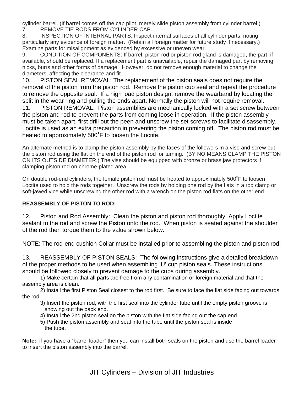cylinder barrel. (If barrel comes off the cap pilot, merely slide piston assembly from cylinder barrel.) 7. REMOVE TIE RODS FROM CYLINDER CAP.

8. INSPECTION OF INTERNAL PARTS: Inspect internal surfaces of all cylinder parts, noting particularly any evidence of foreign matter. (Retain all foreign matter for future study if necessary.) Examine parts for misalignment as evidenced by excessive or uneven wear.

9. CONDITION OF COMPONENTS: If barrel, piston rod or piston rod gland is damaged, the part, if available, should be replaced. If a replacement part is unavailable, repair the damaged part by removing nicks, burrs and other forms of damage. However, do not remove enough material to change the diameters, affecting the clearance and fit.

10. PISTON SEAL REMOVAL: The replacement of the piston seals does not require the removal of the piston from the piston rod. Remove the piston cup seal and repeat the procedure to remove the opposite seal. If a high load piston design, remove the wearband by locating the split in the wear ring and pulling the ends apart. Normally the piston will not require removal. 11. PISTON REMOVAL: Piston assemblies are mechanically locked with a set screw between the piston and rod to prevent the parts from coming loose in operation. If the piston assembly must be taken apart, first drill out the peen and unscrew the set screw/s to facilitate disassembly. Loctite is used as an extra precaution in preventing the piston coming off. The piston rod must be heated to approximately 500˚F to loosen the Loctite.

An alternate method is to clamp the piston assembly by the faces of the followers in a vise and screw out the piston rod using the flat on the end of the piston rod for turning. (BY NO MEANS CLAMP THE PISTON ON ITS OUTSIDE DIAMETER.) The vise should be equipped with bronze or brass jaw protectors if clamping piston rod on chrome-plated area.

On double rod-end cylinders, the female piston rod must be heated to approximately 500˚F to loosen Loctite used to hold the rods together. Unscrew the rods by holding one rod by the flats in a rod clamp or soft-jawed vice while unscrewing the other rod with a wrench on the piston rod flats on the other end.

## **REASSEMBLY OF PISTON TO ROD:**

12. Piston and Rod Assembly: Clean the piston and piston rod thoroughly. Apply Loctite sealant to the rod and screw the Piston onto the rod. When piston is seated against the shoulder of the rod then torque them to the value shown below.

NOTE: The rod-end cushion Collar must be installed prior to assembling the piston and piston rod.

13. REASSEMBLY OF PISTON SEALS: The following instructions give a detailed breakdown of the proper methods to be used when assembling 'U' cup piston seals. These instructions should be followed closely to prevent damage to the cups during assembly.

1) Make certain that all parts are free from any contamination or foreign material and that the assembly area is clean.

2) Install the first Piston Seal closest to the rod first. Be sure to face the flat side facing out towards the rod.

- 3) Insert the piston rod, with the first seal into the cylinder tube until the empty piston groove is showing out the back end.
- 4) Install the 2nd piston seal on the piston with the flat side facing out the cap end.
- 5) Push the piston assembly and seal into the tube until the piston seal is inside the tube.

**Note:** if you have a "barrel loader" then you can install both seals on the piston and use the barrel loader to insert the piston assembly into the barrel.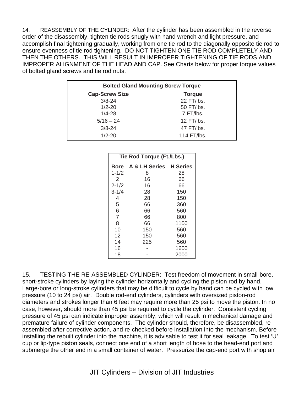14. REASSEMBLY OF THE CYLINDER: After the cylinder has been assembled in the reverse order of the disassembly, tighten tie rods snugly with hand wrench and light pressure, and accomplish final tightening gradually, working from one tie rod to the diagonally opposite tie rod to ensure evenness of tie rod tightening. DO NOT TIGHTEN ONE TIE ROD COMPLETELY AND THEN THE OTHERS. THIS WILL RESULT IN IMPROPER TIGHTENING OF TIE RODS AND IMPROPER ALIGNMENT OF THE HEAD AND CAP. See Charts below for proper torque values of bolted gland screws and tie rod nuts.

| <b>Bolted Gland Mounting Screw Torque</b> |               |  |
|-------------------------------------------|---------------|--|
| <b>Cap-Screw Size</b>                     | <b>Torque</b> |  |
| $3/8 - 24$                                | 22 FT/lbs.    |  |
| $1/2 - 20$                                | 50 FT/lbs.    |  |
| $1/4 - 28$                                | 7 FT/lbs.     |  |
| $5/16 - 24$                               | 12 FT/lbs.    |  |
| $3/8 - 24$                                | 47 FT/lbs.    |  |
| $1/2 - 20$                                | 114 FT/lbs.   |  |

| Tie Rod Torque (Ft./Lbs.) |                             |      |
|---------------------------|-----------------------------|------|
|                           | Bore A & LH Series H Series |      |
| $1 - 1/2$                 | 8                           | 28   |
| 2                         | 16                          | 66   |
| $2 - 1/2$                 | 16                          | 66   |
| $3 - 1/4$                 | 28                          | 150  |
| 4                         | 28                          | 150  |
| 5                         | 66                          | 360  |
| 6                         | 66                          | 560  |
| $\overline{7}$            | 66                          | 800  |
| 8                         | 66                          | 1100 |
| 10                        | 150                         | 560  |
| 12                        | 150                         | 560  |
| 14                        | 225                         | 560  |
| 16                        |                             | 1600 |
| 18                        |                             | 2000 |

15. TESTING THE RE-ASSEMBLED CYLINDER: Test freedom of movement in small-bore, short-stroke cylinders by laying the cylinder horizontally and cycling the piston rod by hand. Large-bore or long-stroke cylinders that may be difficult to cycle by hand can be cycled with low pressure (10 to 24 psi) air. Double rod-end cylinders, cylinders with oversized piston-rod diameters and strokes longer than 6 feet may require more than 25 psi to move the piston. In no case, however, should more than 45 psi be required to cycle the cylinder. Consistent cycling pressure of 45 psi can indicate improper assembly, which will result in mechanical damage and premature failure of cylinder components. The cylinder should, therefore, be disassembled, reassembled after corrective action, and re-checked before installation into the mechanism. Before installing the rebuilt cylinder into the machine, it is advisable to test it for seal leakage. To test 'U' cup or lip-type piston seals, connect one end of a short length of hose to the head-end port and submerge the other end in a small container of water. Pressurize the cap-end port with shop air